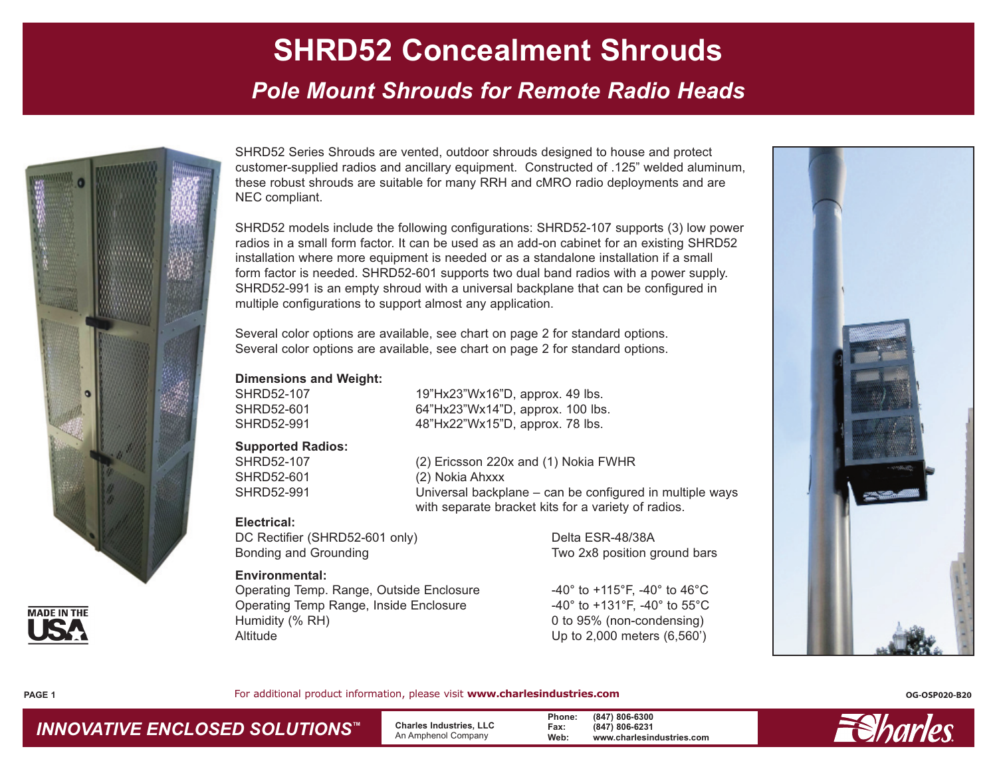*Pole Mount Shrouds for Remote Radio Heads*



SHRD52 Series Shrouds are vented, outdoor shrouds designed to house and protect customer-supplied radios and ancillary equipment. Constructed of .125" welded aluminum, these robust shrouds are suitable for many RRH and cMRO radio deployments and are NEC compliant.

SHRD52 models include the following configurations: SHRD52-107 supports (3) low power radios in a small form factor. It can be used as an add-on cabinet for an existing SHRD52 installation where more equipment is needed or as a standalone installation if a small form factor is needed. SHRD52-601 supports two dual band radios with a power supply. SHRD52-991 is an empty shroud with a universal backplane that can be configured in multiple configurations to support almost any application.

Several color options are available, see chart on page 2 for standard options. Several color options are available, see chart on page 2 for standard options.

#### **Dimensions and Weight:**

SHRD52-107 19"Hx23"Wx16"D, approx. 49 lbs. SHRD52-601 64"Hx23"Wx14"D, approx. 100 lbs. SHRD52-991 48"Hx22"Wx15"D, approx. 78 lbs.

#### **Supported Radios:**

SHRD52-107 (2) Ericsson 220x and (1) Nokia FWHR SHRD52-601 (2) Nokia Ahxxx SHRD52-991 Universal backplane – can be configured in multiple ways with separate bracket kits for a variety of radios.

#### **Electrical:**

DC Rectifier (SHRD52-601 only) Delta ESR-48/38A Bonding and Grounding Two 2x8 position ground bars

#### **Environmental:**

Operating Temp. Range, Outside Enclosure  $-40^{\circ}$  to  $+115^{\circ}$ F,  $-40^{\circ}$  to  $46^{\circ}$ C Operating Temp Range, Inside Enclosure -40° to +131°F, -40° to 55°C Humidity (% RH) 0 to 95% (non-condensing) Altitude Up to 2,000 meters (6,560')





**PAGE 1**

For additional product information, please visit **www.charlesindustries.com CG-OSP020-B20 OG-OSP020-B20** 

 **Charles Industries, LLC** An Amphenol Company

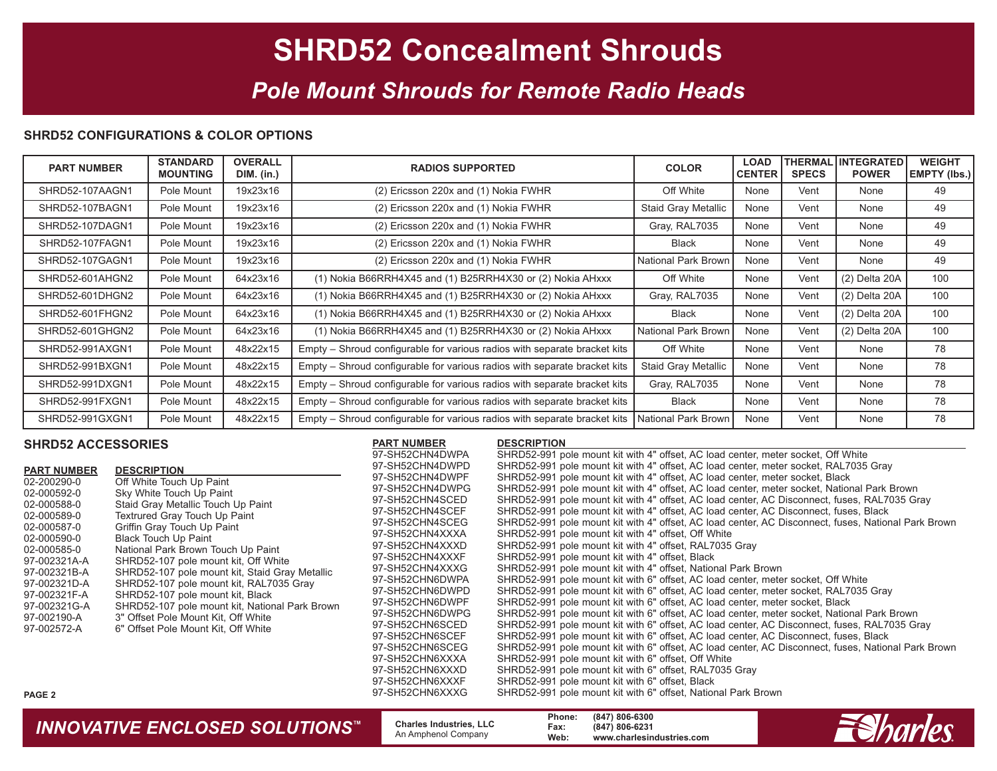### *Pole Mount Shrouds for Remote Radio Heads*

#### **SHRD52 CONFIGURATIONS & COLOR OPTIONS**

| <b>PART NUMBER</b> | <b>STANDARD</b><br><b>MOUNTING</b> | <b>OVERALL</b><br>DIM. (in.) | <b>RADIOS SUPPORTED</b>                                                   | <b>COLOR</b>               | <b>LOAD</b><br><b>CENTER</b> | <b>SPECS</b> | <b>THERMAL INTEGRATED</b><br><b>POWER</b> | <b>WEIGHT</b><br> EMPTY (Ibs.) |
|--------------------|------------------------------------|------------------------------|---------------------------------------------------------------------------|----------------------------|------------------------------|--------------|-------------------------------------------|--------------------------------|
| SHRD52-107AAGN1    | Pole Mount                         | 19x23x16                     | (2) Ericsson 220x and (1) Nokia FWHR                                      | Off White                  | None                         | Vent         | None                                      | 49                             |
| SHRD52-107BAGN1    | Pole Mount                         | 19x23x16                     | (2) Ericsson 220x and (1) Nokia FWHR                                      | <b>Staid Gray Metallic</b> | None                         | Vent         | None                                      | 49                             |
| SHRD52-107DAGN1    | Pole Mount                         | 19x23x16                     | (2) Ericsson 220x and (1) Nokia FWHR                                      | Gray, RAL7035              | None                         | Vent         | None                                      | 49                             |
| SHRD52-107FAGN1    | Pole Mount                         | 19x23x16                     | (2) Ericsson 220x and (1) Nokia FWHR                                      | <b>Black</b>               | None                         | Vent         | None                                      | 49                             |
| SHRD52-107GAGN1    | Pole Mount                         | 19x23x16                     | (2) Ericsson 220x and (1) Nokia FWHR                                      | National Park Brown        | None                         | Vent         | None                                      | 49                             |
| SHRD52-601AHGN2    | Pole Mount                         | 64x23x16                     | (1) Nokia B66RRH4X45 and (1) B25RRH4X30 or (2) Nokia AHxxx                | Off White                  | None                         | Vent         | (2) Delta 20A                             | 100                            |
| SHRD52-601DHGN2    | Pole Mount                         | 64x23x16                     | (1) Nokia B66RRH4X45 and (1) B25RRH4X30 or (2) Nokia AHxxx                | Gray, RAL7035              | None                         | Vent         | (2) Delta 20A                             | 100                            |
| SHRD52-601FHGN2    | Pole Mount                         | 64x23x16                     | (1) Nokia B66RRH4X45 and (1) B25RRH4X30 or (2) Nokia AHxxx                | <b>Black</b>               | None                         | Vent         | (2) Delta 20A                             | 100                            |
| SHRD52-601GHGN2    | Pole Mount                         | 64x23x16                     | (1) Nokia B66RRH4X45 and (1) B25RRH4X30 or (2) Nokia AHxxx                | National Park Brown        | None                         | Vent         | (2) Delta 20A                             | 100                            |
| SHRD52-991AXGN1    | Pole Mount                         | 48x22x15                     | Empty – Shroud configurable for various radios with separate bracket kits | Off White                  | None                         | Vent         | None                                      | 78                             |
| SHRD52-991BXGN1    | Pole Mount                         | 48x22x15                     | Empty – Shroud configurable for various radios with separate bracket kits | Staid Gray Metallic        | None                         | Vent         | None                                      | 78                             |
| SHRD52-991DXGN1    | Pole Mount                         | 48x22x15                     | Empty – Shroud configurable for various radios with separate bracket kits | Gray, RAL7035              | None                         | Vent         | None                                      | 78                             |
| SHRD52-991FXGN1    | Pole Mount                         | 48x22x15                     | Empty - Shroud configurable for various radios with separate bracket kits | <b>Black</b>               | None                         | Vent         | None                                      | 78                             |
| SHRD52-991GXGN1    | Pole Mount                         | 48x22x15                     | Empty – Shroud configurable for various radios with separate bracket kits | <b>National Park Brown</b> | None                         | Vent         | None                                      | 78                             |

#### **SHRD52 ACCESSORIES**

|                    |                                                | 97-SH52CHN4DWPA | SHRD52-991 pole mount kit with 4" offset, AC load center, meter socket, Off White                   |
|--------------------|------------------------------------------------|-----------------|-----------------------------------------------------------------------------------------------------|
| <b>PART NUMBER</b> | <b>DESCRIPTION</b>                             | 97-SH52CHN4DWPD | SHRD52-991 pole mount kit with 4" offset, AC load center, meter socket, RAL7035 Gray                |
| 02-200290-0        | Off White Touch Up Paint                       | 97-SH52CHN4DWPF | SHRD52-991 pole mount kit with 4" offset, AC load center, meter socket, Black                       |
| 02-000592-0        | Sky White Touch Up Paint                       | 97-SH52CHN4DWPG | SHRD52-991 pole mount kit with 4" offset, AC load center, meter socket, National Park Brown         |
| 02-000588-0        | Staid Gray Metallic Touch Up Paint             | 97-SH52CHN4SCED | SHRD52-991 pole mount kit with 4" offset, AC load center, AC Disconnect, fuses, RAL7035 Gray        |
| 02-000589-0        | Textrured Gray Touch Up Paint                  | 97-SH52CHN4SCEF | SHRD52-991 pole mount kit with 4" offset, AC load center, AC Disconnect, fuses, Black               |
| 02-000587-0        | Griffin Gray Touch Up Paint                    | 97-SH52CHN4SCEG | SHRD52-991 pole mount kit with 4" offset, AC load center, AC Disconnect, fuses, National Park Brown |
| 02-000590-0        | <b>Black Touch Up Paint</b>                    | 97-SH52CHN4XXXA | SHRD52-991 pole mount kit with 4" offset, Off White                                                 |
| 02-000585-0        | National Park Brown Touch Up Paint             | 97-SH52CHN4XXXD | SHRD52-991 pole mount kit with 4" offset, RAL7035 Gray                                              |
| 97-002321A-A       | SHRD52-107 pole mount kit, Off White           | 97-SH52CHN4XXXF | SHRD52-991 pole mount kit with 4" offset, Black                                                     |
| 97-002321B-A       | SHRD52-107 pole mount kit, Staid Gray Metallic | 97-SH52CHN4XXXG | SHRD52-991 pole mount kit with 4" offset, National Park Brown                                       |
| 97-002321D-A       | SHRD52-107 pole mount kit, RAL7035 Gray        | 97-SH52CHN6DWPA | SHRD52-991 pole mount kit with 6" offset, AC load center, meter socket, Off White                   |
| 97-002321F-A       | SHRD52-107 pole mount kit, Black               | 97-SH52CHN6DWPD | SHRD52-991 pole mount kit with 6" offset, AC load center, meter socket, RAL7035 Gray                |
| 97-002321G-A       | SHRD52-107 pole mount kit, National Park Brown | 97-SH52CHN6DWPF | SHRD52-991 pole mount kit with 6" offset, AC load center, meter socket, Black                       |
| 97-002190-A        | 3" Offset Pole Mount Kit, Off White            | 97-SH52CHN6DWPG | SHRD52-991 pole mount kit with 6" offset, AC load center, meter socket, National Park Brown         |
| 97-002572-A        | 6" Offset Pole Mount Kit, Off White            | 97-SH52CHN6SCED | SHRD52-991 pole mount kit with 6" offset, AC load center, AC Disconnect, fuses, RAL7035 Gray        |
|                    |                                                | 97-SH52CHN6SCEF | SHRD52-991 pole mount kit with 6" offset, AC load center, AC Disconnect, fuses, Black               |
|                    |                                                | 97-SH52CHN6SCEG | SHRD52-991 pole mount kit with 6" offset, AC load center, AC Disconnect, fuses, National Park Brown |
|                    |                                                | 97-SH52CHN6XXXA | SHRD52-991 pole mount kit with 6" offset, Off White                                                 |
|                    |                                                | 97-SH52CHN6XXXD | SHRD52-991 pole mount kit with 6" offset, RAL7035 Gray                                              |
|                    |                                                | 97-SH52CHN6XXXF | SHRD52-991 pole mount kit with 6" offset, Black                                                     |
| PAGE 2             |                                                | 97-SH52CHN6XXXG | SHRD52-991 pole mount kit with 6" offset, National Park Brown                                       |
|                    |                                                |                 |                                                                                                     |

**PART NUMBER DESCRIPTION** 

**INNOVATIVE ENCLOSED SOLUTIONS™** Charles Industries, LLC Phone: (847) 806-6300<br>An Amphenol Company Web: www.charlesindustries.com

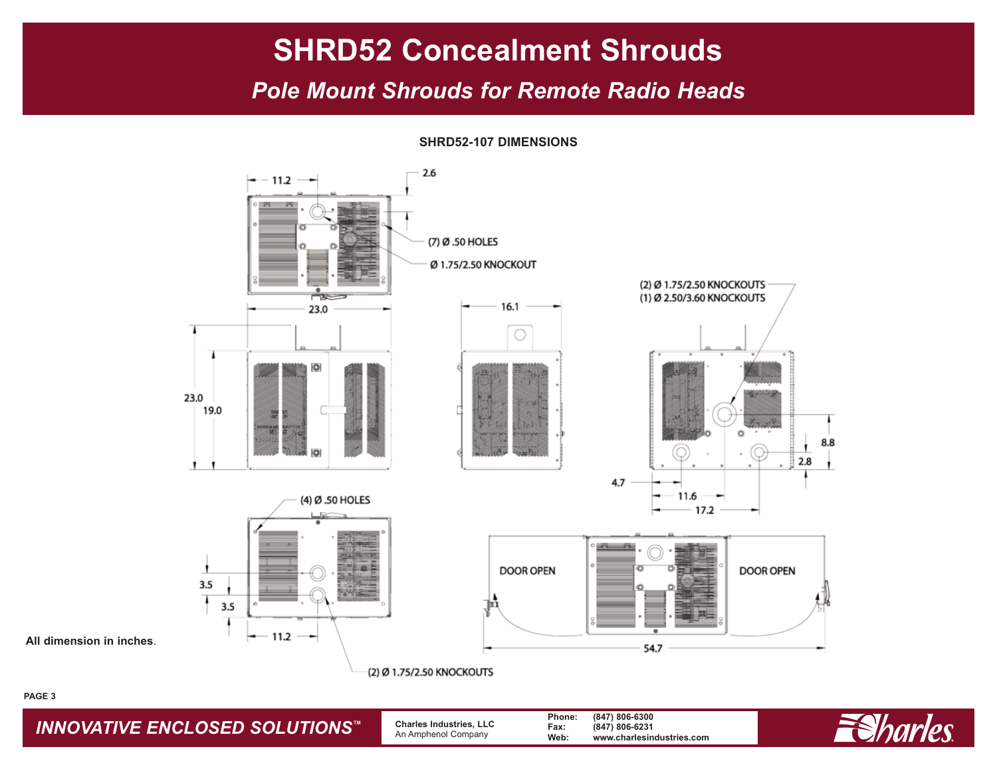### *Pole Mount Shrouds for Remote Radio Heads*

**SHRD52-107 DIMENSIONS**



**All dimension in inches**.

#### **PAGE 3**

*INNOVATIVE ENCLOSED SOLUTIONS ™*

 **Charles Industries, LLC** An Amphenol Company

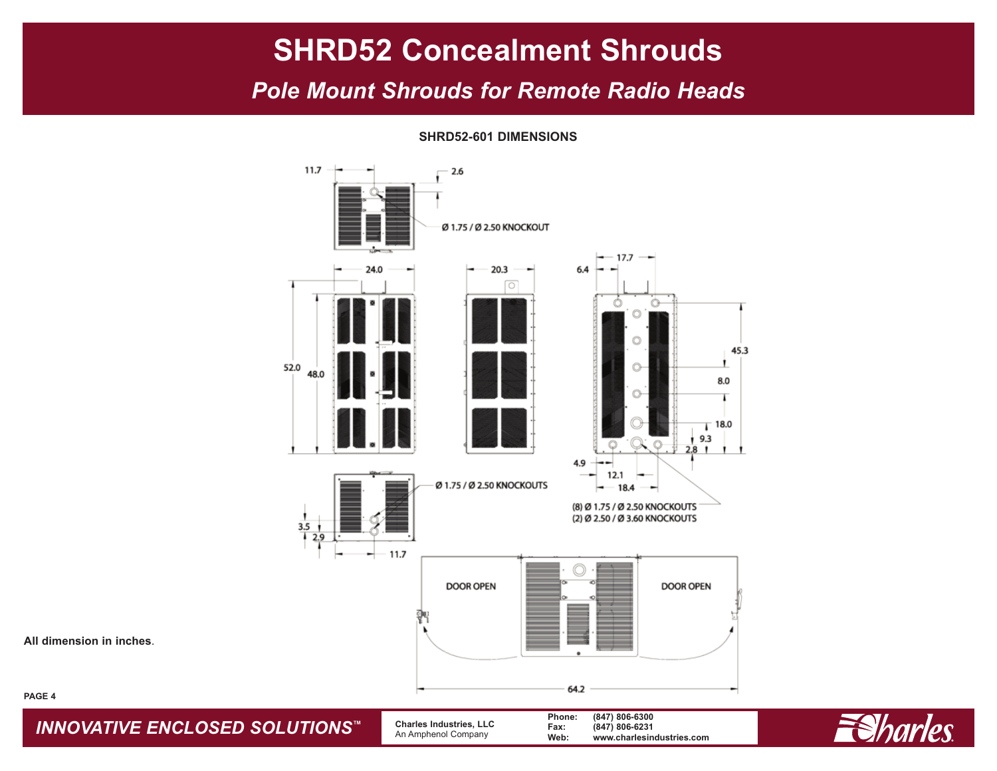### *Pole Mount Shrouds for Remote Radio Heads*

11.7  $-2.6$ Ø 1.75 / Ø 2.50 KNOCKOUT 17.7 20.3 24.0 6.4 ा 45.3 52.0 Ō 48.0 8.0  $\circ$  $\bar{1}$  18.0 9.3  $\circ$  $2.8<sub>1</sub>$ 4.9 12.1 Ø 1.75 / Ø 2.50 KNOCKOUTS 18.4 (8) Ø 1.75 / Ø 2.50 KNOCKOUTS (2) Ø 2.50 / Ø 3.60 KNOCKOUTS  $3.5$  $2.9$ 11.7 **DOOR OPEN DOOR OPEN** 휅 64.2

**SHRD52-601 DIMENSIONS**

**All dimension in inches**.

**PAGE 4**

*INNOVATIVE ENCLOSED SOLUTIONS ™*

 **Charles Industries, LLC** An Amphenol Company